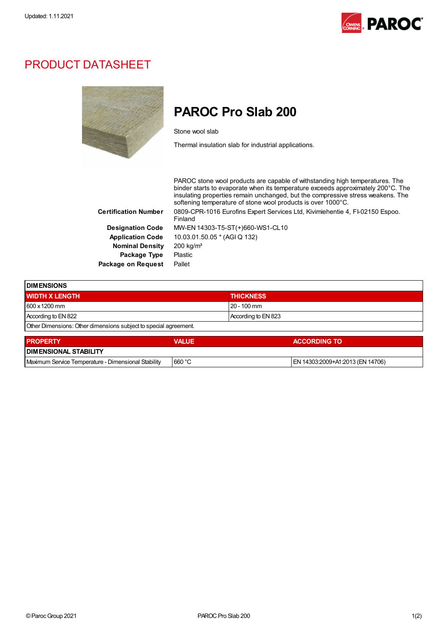

## PRODUCT DATASHEET



## PAROC Pro Slab 200

Stone wool slab

Thermal insulation slab for industrial applications.

PAROC stone wool products are capable of withstanding high temperatures. The binder starts to evaporate when its temperature exceeds approximately 200°C. The insulating properties remain unchanged, but the compressive stress weakens. The softening temperature of stone wool products is over 1000°C. Certification Number 0809-CPR-1016 Eurofins Expert Services Ltd, Kivimiehentie 4, FI-02150 Espoo. Finland Designation Code MW-EN 14303-T5-ST(+)660-WS1-CL10 Application Code 10.03.01.50.05 \* (AGI Q 132) Nominal Density 200 kg/m<sup>3</sup> Package Type Plastic Package on Request Pallet

| <b>IDIMENSIONS</b>                                               |              |                     |                     |  |  |
|------------------------------------------------------------------|--------------|---------------------|---------------------|--|--|
| <b>WIDTH X LENGTH</b>                                            |              | <b>THICKNESS</b>    |                     |  |  |
| 600 x 1200 mm                                                    |              | 20 - 100 mm         |                     |  |  |
| According to EN 822                                              |              | According to EN 823 |                     |  |  |
| Other Dimensions: Other dimensions subject to special agreement. |              |                     |                     |  |  |
| <b>PROPERTY</b>                                                  | <b>VALUE</b> |                     | <b>ACCORDING TO</b> |  |  |

| <b>I DIMENSIONAL STABILITY</b>                          |         |                                                   |
|---------------------------------------------------------|---------|---------------------------------------------------|
| Maximum<br>Dimensional Stability<br>Service Temperature | ⊦660 °C | } (EN 14706)<br>4303.2009+A1.2013<br>$\mathsf{M}$ |